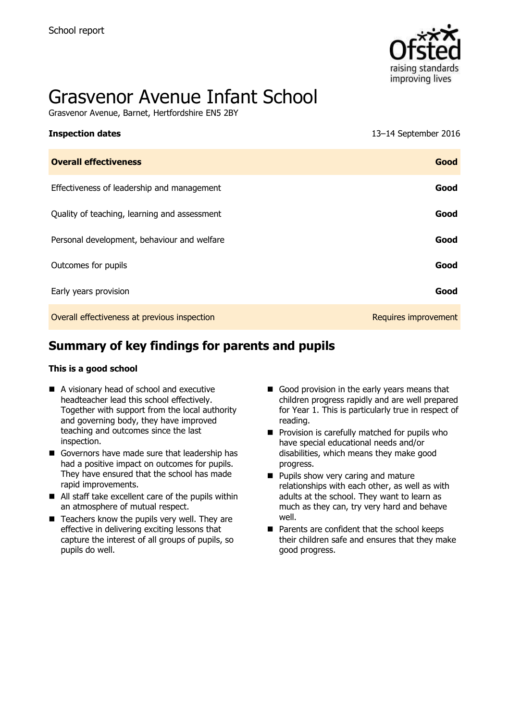

# Grasvenor Avenue Infant School

Grasvenor Avenue, Barnet, Hertfordshire EN5 2BY

| <b>Inspection dates</b>                      | 13–14 September 2016 |
|----------------------------------------------|----------------------|
| <b>Overall effectiveness</b>                 | Good                 |
| Effectiveness of leadership and management   | Good                 |
| Quality of teaching, learning and assessment | Good                 |
| Personal development, behaviour and welfare  | Good                 |
| Outcomes for pupils                          | Good                 |
| Early years provision                        | Good                 |
| Overall effectiveness at previous inspection | Requires improvement |

# **Summary of key findings for parents and pupils**

#### **This is a good school**

- A visionary head of school and executive headteacher lead this school effectively. Together with support from the local authority and governing body, they have improved teaching and outcomes since the last inspection.
- Governors have made sure that leadership has had a positive impact on outcomes for pupils. They have ensured that the school has made rapid improvements.
- All staff take excellent care of the pupils within an atmosphere of mutual respect.
- $\blacksquare$  Teachers know the pupils very well. They are effective in delivering exciting lessons that capture the interest of all groups of pupils, so pupils do well.
- Good provision in the early years means that children progress rapidly and are well prepared for Year 1. This is particularly true in respect of reading.
- $\blacksquare$  Provision is carefully matched for pupils who have special educational needs and/or disabilities, which means they make good progress.
- **Pupils show very caring and mature** relationships with each other, as well as with adults at the school. They want to learn as much as they can, try very hard and behave well.
- **Parents are confident that the school keeps** their children safe and ensures that they make good progress.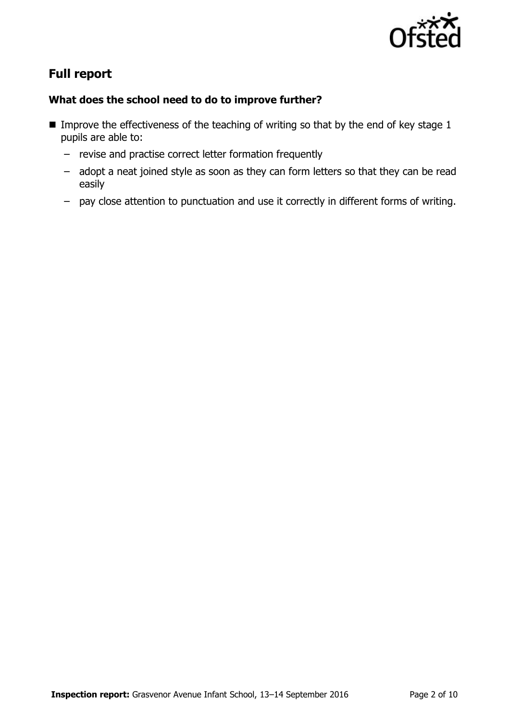

# **Full report**

### **What does the school need to do to improve further?**

- Improve the effectiveness of the teaching of writing so that by the end of key stage  $1$ pupils are able to:
	- revise and practise correct letter formation frequently
	- adopt a neat joined style as soon as they can form letters so that they can be read easily
	- pay close attention to punctuation and use it correctly in different forms of writing.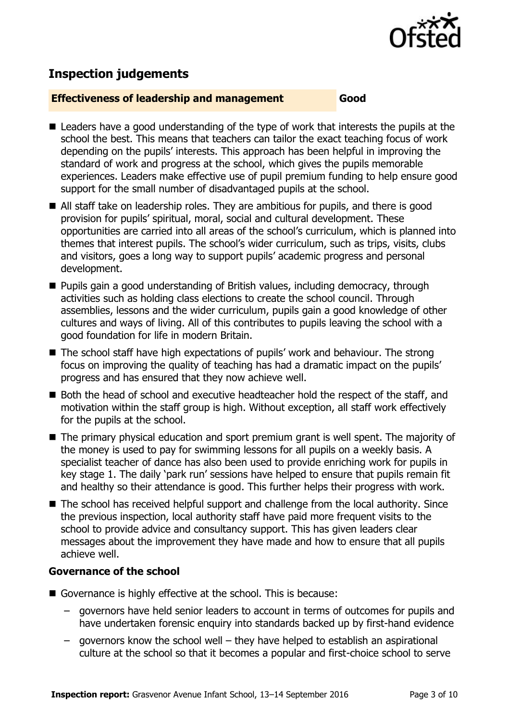

# **Inspection judgements**

#### **Effectiveness of leadership and management Good**

- Leaders have a good understanding of the type of work that interests the pupils at the school the best. This means that teachers can tailor the exact teaching focus of work depending on the pupils' interests. This approach has been helpful in improving the standard of work and progress at the school, which gives the pupils memorable experiences. Leaders make effective use of pupil premium funding to help ensure good support for the small number of disadvantaged pupils at the school.
- All staff take on leadership roles. They are ambitious for pupils, and there is good provision for pupils' spiritual, moral, social and cultural development. These opportunities are carried into all areas of the school's curriculum, which is planned into themes that interest pupils. The school's wider curriculum, such as trips, visits, clubs and visitors, goes a long way to support pupils' academic progress and personal development.
- **Pupils gain a good understanding of British values, including democracy, through** activities such as holding class elections to create the school council. Through assemblies, lessons and the wider curriculum, pupils gain a good knowledge of other cultures and ways of living. All of this contributes to pupils leaving the school with a good foundation for life in modern Britain.
- The school staff have high expectations of pupils' work and behaviour. The strong focus on improving the quality of teaching has had a dramatic impact on the pupils' progress and has ensured that they now achieve well.
- Both the head of school and executive headteacher hold the respect of the staff, and motivation within the staff group is high. Without exception, all staff work effectively for the pupils at the school.
- The primary physical education and sport premium grant is well spent. The majority of the money is used to pay for swimming lessons for all pupils on a weekly basis. A specialist teacher of dance has also been used to provide enriching work for pupils in key stage 1. The daily 'park run' sessions have helped to ensure that pupils remain fit and healthy so their attendance is good. This further helps their progress with work.
- The school has received helpful support and challenge from the local authority. Since the previous inspection, local authority staff have paid more frequent visits to the school to provide advice and consultancy support. This has given leaders clear messages about the improvement they have made and how to ensure that all pupils achieve well.

#### **Governance of the school**

- Governance is highly effective at the school. This is because:
	- governors have held senior leaders to account in terms of outcomes for pupils and have undertaken forensic enquiry into standards backed up by first-hand evidence
	- governors know the school well they have helped to establish an aspirational culture at the school so that it becomes a popular and first-choice school to serve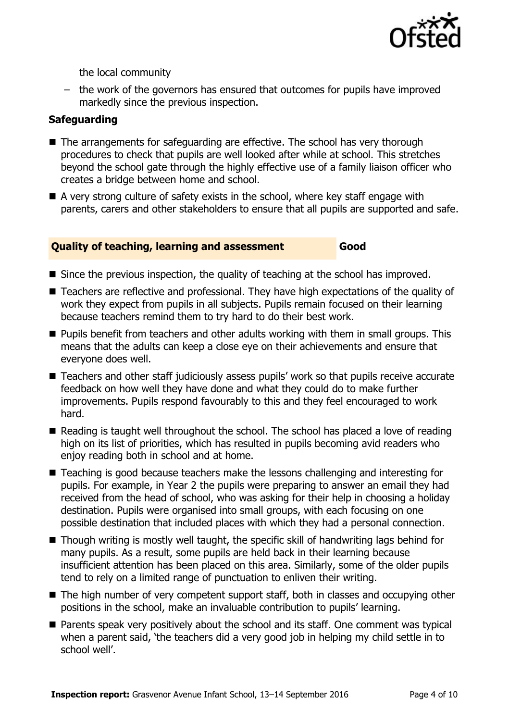

the local community

– the work of the governors has ensured that outcomes for pupils have improved markedly since the previous inspection.

#### **Safeguarding**

- The arrangements for safeguarding are effective. The school has very thorough procedures to check that pupils are well looked after while at school. This stretches beyond the school gate through the highly effective use of a family liaison officer who creates a bridge between home and school.
- A very strong culture of safety exists in the school, where key staff engage with parents, carers and other stakeholders to ensure that all pupils are supported and safe.

#### **Quality of teaching, learning and assessment Good**

- Since the previous inspection, the quality of teaching at the school has improved.
- Teachers are reflective and professional. They have high expectations of the quality of work they expect from pupils in all subjects. Pupils remain focused on their learning because teachers remind them to try hard to do their best work.
- $\blacksquare$  Pupils benefit from teachers and other adults working with them in small groups. This means that the adults can keep a close eye on their achievements and ensure that everyone does well.
- Teachers and other staff judiciously assess pupils' work so that pupils receive accurate feedback on how well they have done and what they could do to make further improvements. Pupils respond favourably to this and they feel encouraged to work hard.
- Reading is taught well throughout the school. The school has placed a love of reading high on its list of priorities, which has resulted in pupils becoming avid readers who enjoy reading both in school and at home.
- Teaching is good because teachers make the lessons challenging and interesting for pupils. For example, in Year 2 the pupils were preparing to answer an email they had received from the head of school, who was asking for their help in choosing a holiday destination. Pupils were organised into small groups, with each focusing on one possible destination that included places with which they had a personal connection.
- Though writing is mostly well taught, the specific skill of handwriting lags behind for many pupils. As a result, some pupils are held back in their learning because insufficient attention has been placed on this area. Similarly, some of the older pupils tend to rely on a limited range of punctuation to enliven their writing.
- The high number of very competent support staff, both in classes and occupying other positions in the school, make an invaluable contribution to pupils' learning.
- Parents speak very positively about the school and its staff. One comment was typical when a parent said, 'the teachers did a very good job in helping my child settle in to school well'.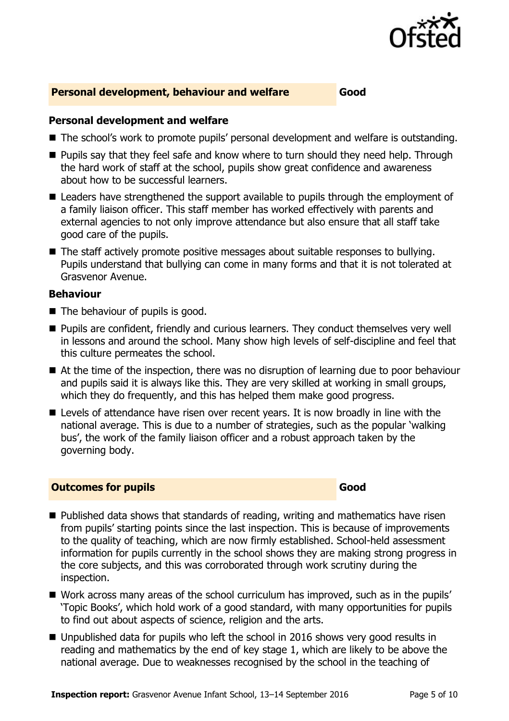

#### **Personal development, behaviour and welfare Good**

#### **Personal development and welfare**

- The school's work to promote pupils' personal development and welfare is outstanding.
- **Pupils say that they feel safe and know where to turn should they need help. Through** the hard work of staff at the school, pupils show great confidence and awareness about how to be successful learners.
- Leaders have strengthened the support available to pupils through the employment of a family liaison officer. This staff member has worked effectively with parents and external agencies to not only improve attendance but also ensure that all staff take good care of the pupils.
- The staff actively promote positive messages about suitable responses to bullying. Pupils understand that bullying can come in many forms and that it is not tolerated at Grasvenor Avenue.

#### **Behaviour**

- The behaviour of pupils is good.
- **Pupils are confident, friendly and curious learners. They conduct themselves very well** in lessons and around the school. Many show high levels of self-discipline and feel that this culture permeates the school.
- At the time of the inspection, there was no disruption of learning due to poor behaviour and pupils said it is always like this. They are very skilled at working in small groups, which they do frequently, and this has helped them make good progress.
- Levels of attendance have risen over recent years. It is now broadly in line with the national average. This is due to a number of strategies, such as the popular 'walking bus', the work of the family liaison officer and a robust approach taken by the governing body.

#### **Outcomes for pupils Good Good**

- Published data shows that standards of reading, writing and mathematics have risen from pupils' starting points since the last inspection. This is because of improvements to the quality of teaching, which are now firmly established. School-held assessment information for pupils currently in the school shows they are making strong progress in the core subjects, and this was corroborated through work scrutiny during the inspection.
- Work across many areas of the school curriculum has improved, such as in the pupils' 'Topic Books', which hold work of a good standard, with many opportunities for pupils to find out about aspects of science, religion and the arts.
- Unpublished data for pupils who left the school in 2016 shows very good results in reading and mathematics by the end of key stage 1, which are likely to be above the national average. Due to weaknesses recognised by the school in the teaching of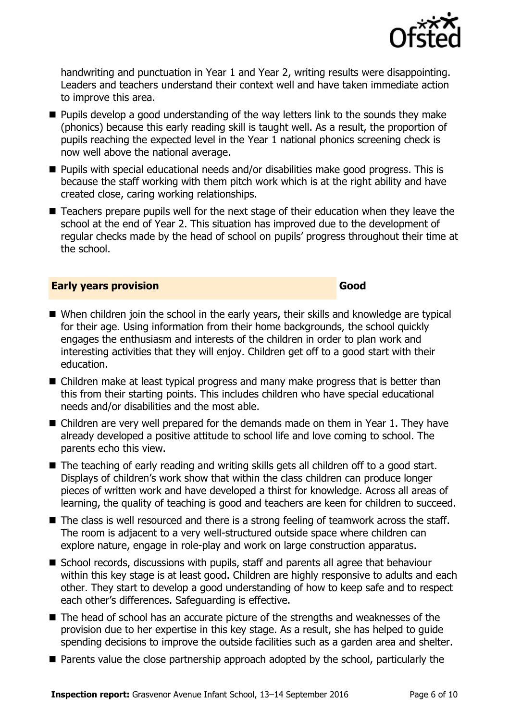

handwriting and punctuation in Year 1 and Year 2, writing results were disappointing. Leaders and teachers understand their context well and have taken immediate action to improve this area.

- **Pupils develop a good understanding of the way letters link to the sounds they make** (phonics) because this early reading skill is taught well. As a result, the proportion of pupils reaching the expected level in the Year 1 national phonics screening check is now well above the national average.
- Pupils with special educational needs and/or disabilities make good progress. This is because the staff working with them pitch work which is at the right ability and have created close, caring working relationships.
- Teachers prepare pupils well for the next stage of their education when they leave the school at the end of Year 2. This situation has improved due to the development of regular checks made by the head of school on pupils' progress throughout their time at the school.

#### **Early years provision Good Good**

- When children join the school in the early years, their skills and knowledge are typical for their age. Using information from their home backgrounds, the school quickly engages the enthusiasm and interests of the children in order to plan work and interesting activities that they will enjoy. Children get off to a good start with their education.
- Children make at least typical progress and many make progress that is better than this from their starting points. This includes children who have special educational needs and/or disabilities and the most able.
- Children are very well prepared for the demands made on them in Year 1. They have already developed a positive attitude to school life and love coming to school. The parents echo this view.
- The teaching of early reading and writing skills gets all children off to a good start. Displays of children's work show that within the class children can produce longer pieces of written work and have developed a thirst for knowledge. Across all areas of learning, the quality of teaching is good and teachers are keen for children to succeed.
- The class is well resourced and there is a strong feeling of teamwork across the staff. The room is adjacent to a very well-structured outside space where children can explore nature, engage in role-play and work on large construction apparatus.
- School records, discussions with pupils, staff and parents all agree that behaviour within this key stage is at least good. Children are highly responsive to adults and each other. They start to develop a good understanding of how to keep safe and to respect each other's differences. Safeguarding is effective.
- The head of school has an accurate picture of the strengths and weaknesses of the provision due to her expertise in this key stage. As a result, she has helped to guide spending decisions to improve the outside facilities such as a garden area and shelter.
- **Parents value the close partnership approach adopted by the school, particularly the**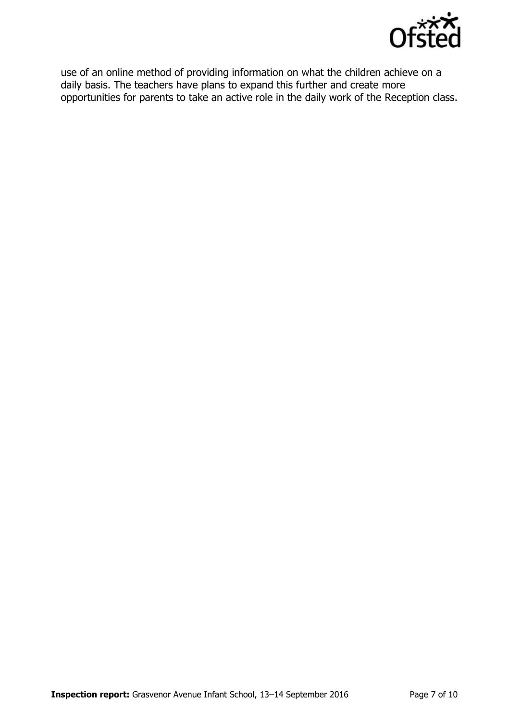

use of an online method of providing information on what the children achieve on a daily basis. The teachers have plans to expand this further and create more opportunities for parents to take an active role in the daily work of the Reception class.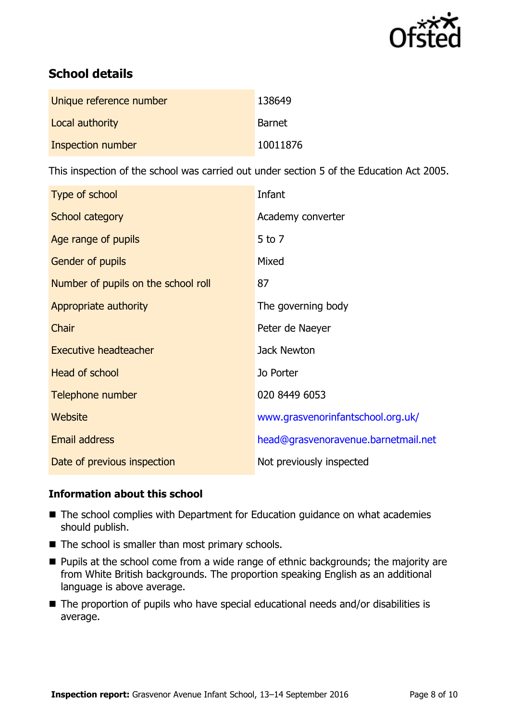

# **School details**

| Unique reference number | 138649   |
|-------------------------|----------|
| Local authority         | Barnet   |
| Inspection number       | 10011876 |

This inspection of the school was carried out under section 5 of the Education Act 2005.

| Type of school                      | Infant                              |
|-------------------------------------|-------------------------------------|
| School category                     | Academy converter                   |
| Age range of pupils                 | 5 to 7                              |
| Gender of pupils                    | Mixed                               |
| Number of pupils on the school roll | 87                                  |
| Appropriate authority               | The governing body                  |
| Chair                               | Peter de Naeyer                     |
| <b>Executive headteacher</b>        | Jack Newton                         |
| <b>Head of school</b>               | Jo Porter                           |
| Telephone number                    | 020 8449 6053                       |
| Website                             | www.grasvenorinfantschool.org.uk/   |
| Email address                       | head@grasvenoravenue.barnetmail.net |
| Date of previous inspection         | Not previously inspected            |

### **Information about this school**

- The school complies with Department for Education guidance on what academies should publish.
- $\blacksquare$  The school is smaller than most primary schools.
- **Pupils at the school come from a wide range of ethnic backgrounds; the majority are** from White British backgrounds. The proportion speaking English as an additional language is above average.
- The proportion of pupils who have special educational needs and/or disabilities is average.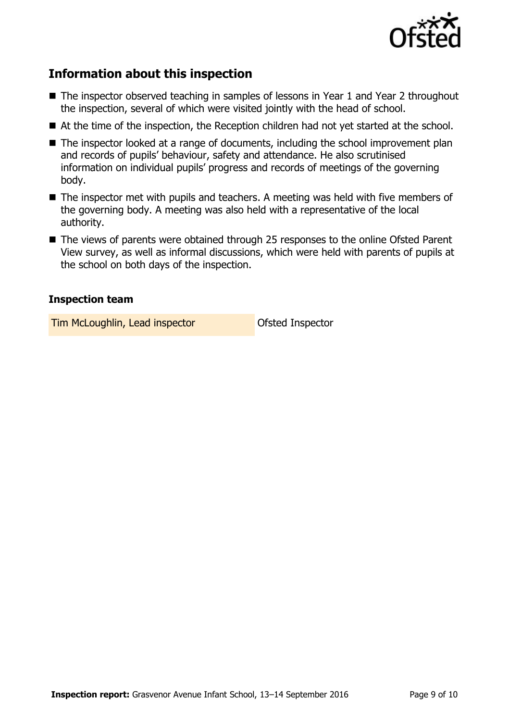

# **Information about this inspection**

- The inspector observed teaching in samples of lessons in Year 1 and Year 2 throughout the inspection, several of which were visited jointly with the head of school.
- At the time of the inspection, the Reception children had not yet started at the school.
- The inspector looked at a range of documents, including the school improvement plan and records of pupils' behaviour, safety and attendance. He also scrutinised information on individual pupils' progress and records of meetings of the governing body.
- The inspector met with pupils and teachers. A meeting was held with five members of the governing body. A meeting was also held with a representative of the local authority.
- The views of parents were obtained through 25 responses to the online Ofsted Parent View survey, as well as informal discussions, which were held with parents of pupils at the school on both days of the inspection.

### **Inspection team**

**Tim McLoughlin, Lead inspector Constructed Inspector**